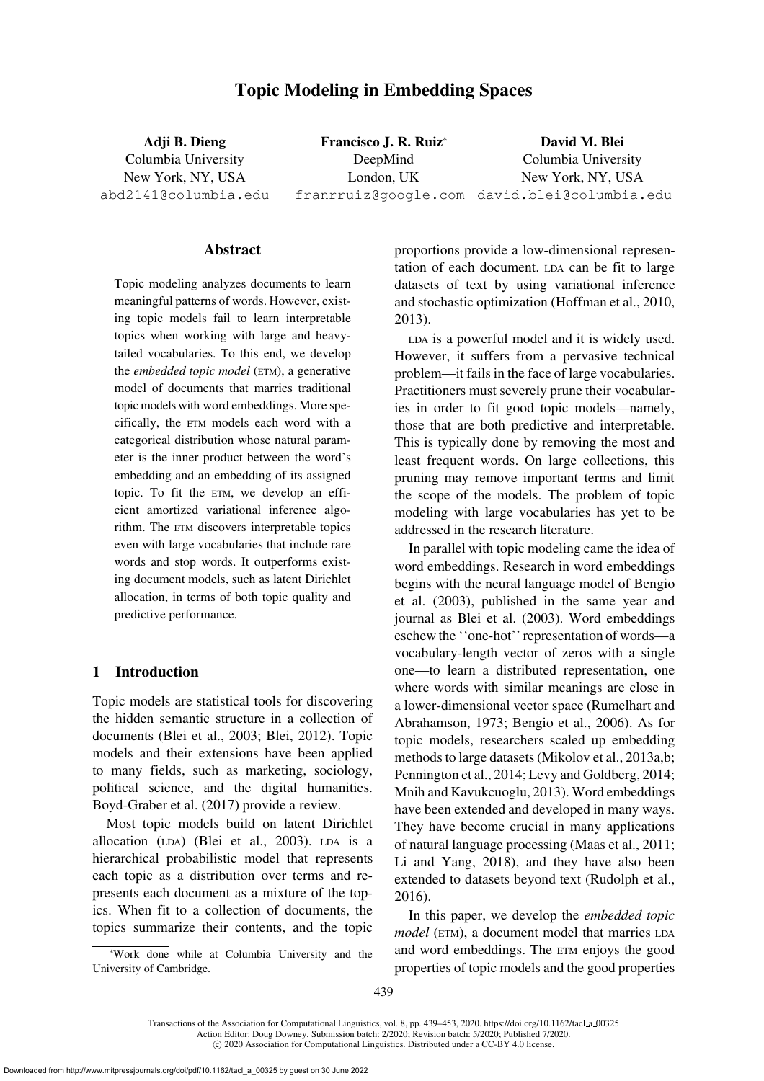# Topic Modeling in Embedding Spaces

Adji B. Dieng Columbia University New York, NY, USA abd2141@columbia.edu

Francisco J. R. Ruiz<sup>∗</sup> DeepMind London, UK franrruiz@google.com david.blei@columbia.edu David M. Blei

Columbia University New York, NY, USA

### Abstract

Topic modeling analyzes documents to learn meaningful patterns of words. However, existing topic models fail to learn interpretable topics when working with large and heavytailed vocabularies. To this end, we develop the *embedded topic model* (ETM), a generative model of documents that marries traditional topic models with word embeddings. More specifically, the ETM models each word with a categorical distribution whose natural parameter is the inner product between the word's embedding and an embedding of its assigned topic. To fit the ETM, we develop an efficient amortized variational inference algorithm. The ETM discovers interpretable topics even with large vocabularies that include rare words and stop words. It outperforms existing document models, such as latent Dirichlet allocation, in terms of both topic quality and predictive performance.

### 1 Introduction

Topic models are statistical tools for discovering the hidden semantic structure in a collection of documents [\(Blei et al., 2003;](#page-11-0) [Blei, 2012](#page-11-1)). Topic models and their extensions have been applied to many fields, such as marketing, sociology, political science, and the digital humanities. [Boyd-Graber et al.](#page-11-2) [\(2017\)](#page-11-2) provide a review.

Most topic models build on latent Dirichlet allocation (LDA) [\(Blei et al.](#page-11-0), [2003\)](#page-11-0). LDA is a hierarchical probabilistic model that represents each topic as a distribution over terms and represents each document as a mixture of the topics. When fit to a collection of documents, the topics summarize their contents, and the topic

<sup>∗</sup>Work done while at Columbia University and the University of Cambridge.

proportions provide a low-dimensional representation of each document. LDA can be fit to large datasets of text by using variational inference and stochastic optimization [\(Hoffman et al., 2010,](#page-12-0) [2013](#page-12-1)).

LDA is a powerful model and it is widely used. However, it suffers from a pervasive technical problem—it fails in the face of large vocabularies. Practitioners must severely prune their vocabularies in order to fit good topic models—namely, those that are both predictive and interpretable. This is typically done by removing the most and least frequent words. On large collections, this pruning may remove important terms and limit the scope of the models. The problem of topic modeling with large vocabularies has yet to be addressed in the research literature.

In parallel with topic modeling came the idea of word embeddings. Research in word embeddings begin[s with the neural language model of](#page-11-3) Bengio et al. [\(2003\)](#page-11-3), published in the same year and journal as [Blei et al. \(2003](#page-11-0)). Word embeddings eschew the ''one-hot'' representation of words—a vocabulary-length vector of zeros with a single one—to learn a distributed representation, one where words with similar meanings are close in a lower-dim[ensional vector space \(](#page-13-0)Rumelhart and Abrahamson, [1973](#page-13-0); [Bengio et al.](#page-11-4), [2006](#page-11-4)). As for topic models, researchers scaled up embedding methods to large datasets [\(Mikolov et al., 2013a](#page-12-2)[,b;](#page-13-1) [Pennington et al., 2014;](#page-13-2) [Levy and Goldberg, 2014;](#page-12-3) [Mnih and Kavukcuoglu](#page-13-3), [2013](#page-13-3)). Word embeddings have been extended and developed in many ways. They have become crucial in many applications of natural language processing [\(Maas et al.](#page-12-4), [2011;](#page-12-4) [Li and Yang, 2018\)](#page-12-5), and they have also been extended to datasets beyond text [\(Rudolph et al.,](#page-13-4) [2016](#page-13-4)).

In this paper, we develop the *embedded topic model* (ETM), a document model that marries LDA and word embeddings. The ETM enjoys the good properties of topic models and the good properties

Transactions of the Association for Computational Linguistics, vol. 8, pp. 439–453, 2020. [https://doi.org/10.1162/tacl](https://doi.org/10.1162/tacl_a_00325) a 00325 Action Editor: Doug Downey. Submission batch: 2/2020; Revision batch: 5/2020; Published 7/2020.

c 2020 Association for Computational Linguistics. Distributed under a CC-BY 4.0 license.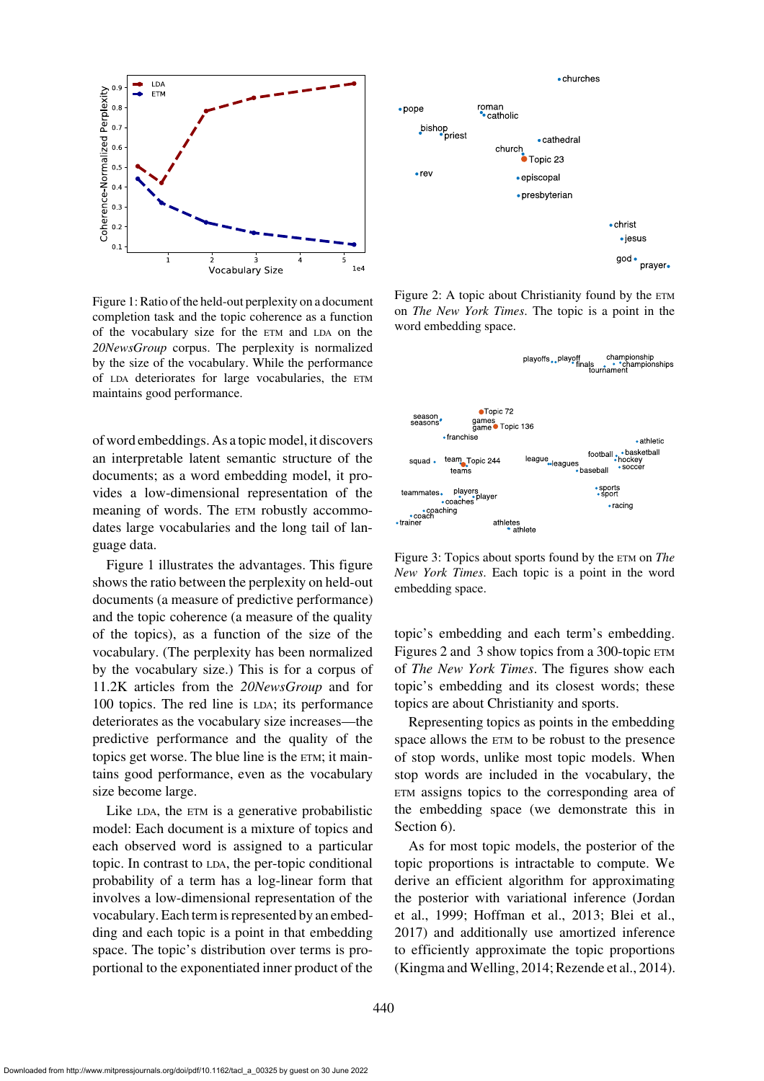

<span id="page-1-0"></span>Figure 1: Ratio of the held-out perplexity on a document completion task and the topic coherence as a function of the vocabulary size for the ETM and LDA on the *20NewsGroup* corpus. The perplexity is normalized by the size of the vocabulary. While the performance of LDA deteriorates for large vocabularies, the ETM maintains good performance.

of word embeddings. As a topic model, it discovers an interpretable latent semantic structure of the documents; as a word embedding model, it provides a low-dimensional representation of the meaning of words. The  $ETM$  robustly accommodates large vocabularies and the long tail of language data.

[Figure 1](#page-1-0) illustrates the advantages. This figure shows the ratio between the perplexity on held-out documents (a measure of predictive performance) and the topic coherence (a measure of the quality of the topics), as a function of the size of the vocabulary. (The perplexity has been normalized by the vocabulary size.) This is for a corpus of 11.2K articles from the *20NewsGroup* and for 100 topics. The red line is LDA; its performance deteriorates as the vocabulary size increases—the predictive performance and the quality of the topics get worse. The blue line is the ETM; it maintains good performance, even as the vocabulary size become large.

Like LDA, the ETM is a generative probabilistic model: Each document is a mixture of topics and each observed word is assigned to a particular topic. In contrast to LDA, the per-topic conditional probability of a term has a log-linear form that involves a low-dimensional representation of the vocabulary. Each term is represented by an embedding and each topic is a point in that embedding space. The topic's distribution over terms is proportional to the exponentiated inner product of the



<span id="page-1-1"></span>Figure 2: A topic about Christianity found by the  $ETM$ on *The New York Times*. The topic is a point in the word embedding space.



<span id="page-1-2"></span>Figure 3: Topics about sports found by the ETM on *The New York Times*. Each topic is a point in the word embedding space.

topic's embedding and each term's embedding. [Figures 2](#page-1-1) and [3](#page-1-2) show topics from a 300-topic ETM of *The New York Times*. The figures show each topic's embedding and its closest words; these topics are about Christianity and sports.

Representing topics as points in the embedding space allows the ETM to be robust to the presence of stop words, unlike most topic models. When stop words are included in the vocabulary, the ETM assigns topics to the corresponding area of the embedding space (we demonstrate this in Section [6\)](#page-5-0).

As for most topic models, the posterior of the topic proportions is intractable to compute. We derive an efficient algorithm for approximating the [posterior with variational inference \(](#page-12-6)Jordan et al., [1999;](#page-12-6) [Hoffman et al., 2013;](#page-12-1) [Blei et al.,](#page-11-5) [2017](#page-11-5)) and additionally use amortized inference to efficiently approximate the topic proportions [\(Kingma and Welling](#page-12-7), [2014](#page-12-7); [Rezende et al.](#page-13-5), [2014\)](#page-13-5).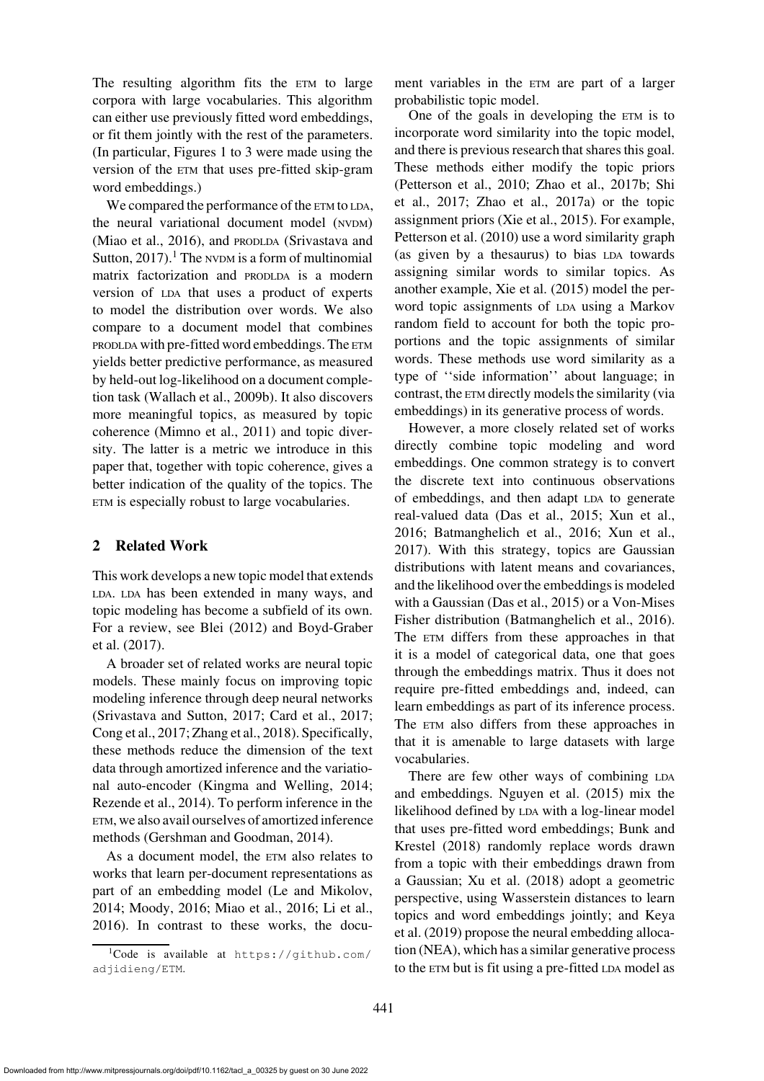The resulting algorithm fits the ETM to large corpora with large vocabularies. This algorithm can either use previously fitted word embeddings, or fit them jointly with the rest of the parameters. (In particular, [Figures 1](#page-1-0) to [3](#page-1-2) were made using the version of the ETM that uses pre-fitted skip-gram word embeddings.)

We compared the performance of the ETM to LDA, the neural variational document model (NVDM) [\(Miao et al., 2016](#page-12-8)[\), and](#page-13-6) PRODLDA (Srivastava and Sutton,  $2017$  $2017$  $2017$ ).<sup>1</sup> The NVDM is a form of multinomial matrix factorization and PRODLDA is a modern version of LDA that uses a product of experts to model the distribution over words. We also compare to a document model that combines PRODLDA with pre-fitted word embeddings. The ETM yields better predictive performance, as measured by held-out log-likelihood on a document completion task [\(Wallach et al., 2009b\)](#page-13-7). It also discovers more meaningful topics, as measured by topic coherence [\(Mimno et al., 2011](#page-13-8)) and topic diversity. The latter is a metric we introduce in this paper that, together with topic coherence, gives a better indication of the quality of the topics. The ETM is especially robust to large vocabularies.

# 2 Related Work

This work develops a new topic model that extends LDA. LDA has been extended in many ways, and topic modeling has become a subfield of its own. For [a review, see](#page-11-2) [Blei \(2012](#page-11-1)[\) and](#page-11-2) Boyd-Graber et al. [\(2017\)](#page-11-2).

A broader set of related works are neural topic models. These mainly focus on improving topic modeling inference through deep neural networks [\(Srivastava and Sutton](#page-13-6), [2017](#page-13-6); [Card et al.](#page-11-6), [2017](#page-11-6); [Cong et al.](#page-12-9), [2017;](#page-12-9) [Zhang et al.](#page-14-0), [2018\)](#page-14-0). Specifically, these methods reduce the dimension of the text data through amortized inference and the variational auto-encoder [\(Kingma and Welling, 2014](#page-12-7); [Rezende et al., 2014\)](#page-13-5). To perform inference in the ETM, we also avail ourselves of amortized inference methods [\(Gershman and Goodman, 2014](#page-12-10)).

As a document model, the ETM also relates to works that learn per-document representations as part of an embedding model [\(Le and Mikolov](#page-12-11), [2014](#page-12-11); [Moody](#page-13-9), [2016;](#page-13-9) [Miao et al., 2016](#page-12-8); [Li et al.,](#page-12-12) [2016](#page-12-12)). In contrast to these works, the document variables in the ETM are part of a larger probabilistic topic model.

One of the goals in developing the ETM is to incorporate word similarity into the topic model, and there is previous research that shares this goal. These methods either modify the topic priors [\(Petterson et al.](#page-13-10)[,](#page-13-11) [2010;](#page-13-10) [Zhao et al.](#page-14-1)[,](#page-13-11) [2017b](#page-14-1)[;](#page-13-11) Shi et al., [2017](#page-13-11); [Zhao et al.](#page-14-2), [2017a\)](#page-14-2) or the topic assignment priors [\(Xie et al.](#page-13-12), [2015\)](#page-13-12). For example, [Petterson et al. \(2010](#page-13-10)) use a word similarity graph (as given by a thesaurus) to bias LDA towards assigning similar words to similar topics. As another example, [Xie et al.](#page-13-12) [\(2015\)](#page-13-12) model the perword topic assignments of LDA using a Markov random field to account for both the topic proportions and the topic assignments of similar words. These methods use word similarity as a type of ''side information'' about language; in contrast, the ETM directly models the similarity (via embeddings) in its generative process of words.

However, a more closely related set of works directly combine topic modeling and word embeddings. One common strategy is to convert the discrete text into continuous observations of embeddings, and then adapt LDA to generate real-valued data [\(Das et al., 2015](#page-12-13); [Xun et al.,](#page-13-13) [2016](#page-13-13); [Batmanghelich et al., 2016](#page-11-7); [Xun et al.,](#page-14-3) [2017](#page-14-3)). With this strategy, topics are Gaussian distributions with latent means and covariances, and the likelihood over the embeddings is modeled with a Gaussian [\(Das et al.](#page-12-13), [2015](#page-12-13)) or a Von-Mises Fisher distribution [\(Batmanghelich et al.](#page-11-7), [2016](#page-11-7)). The ETM differs from these approaches in that it is a model of categorical data, one that goes through the embeddings matrix. Thus it does not require pre-fitted embeddings and, indeed, can learn embeddings as part of its inference process. The ETM also differs from these approaches in that it is amenable to large datasets with large vocabularies.

There are few other ways of combining LDA and embeddings. [Nguyen et al.](#page-13-14) [\(2015](#page-13-14)) mix the likelihood defined by LDA with a log-linear model that us[es pre-fitted word embeddings;](#page-11-8) Bunk and Krestel [\(2018\)](#page-11-8) randomly replace words drawn from a topic with their embeddings drawn from a Gaussian; [Xu et al. \(2018](#page-13-15)) adopt a geometric perspective, using Wasserstein distances to learn topi[cs and word embeddings jointly; and](#page-12-14) Keya et al. [\(2019](#page-12-14)) propose the neural embedding allocation (NEA), which has a similar generative process to the ETM but is fit using a pre-fitted LDA model as

<span id="page-2-0"></span><sup>&</sup>lt;sup>1</sup>Code is available at [https://github.com/](https://github.com/adjidieng/ETM) [adjidieng/ETM](https://github.com/adjidieng/ETM).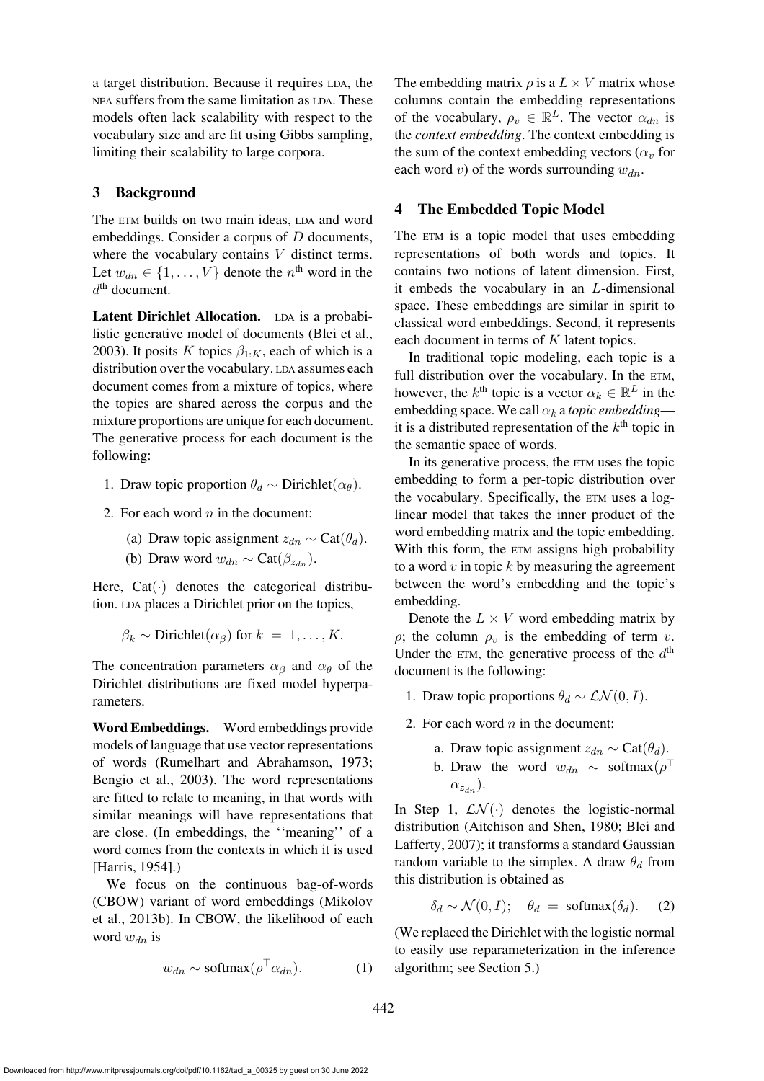a target distribution. Because it requires LDA, the NEA suffers from the same limitation as LDA. These models often lack scalability with respect to the vocabulary size and are fit using Gibbs sampling, limiting their scalability to large corpora.

# 3 Background

The ETM builds on two main ideas, LDA and word embeddings. Consider a corpus of D documents, where the vocabulary contains V distinct terms. Let  $w_{dn} \in \{1, \ldots, V\}$  denote the  $n^{\text{th}}$  word in the  $d<sup>th</sup>$  document.

Latent Dirichlet Allocation. LDA is a probabilistic generative model of documents [\(Blei et al.,](#page-11-0) [2003](#page-11-0)). It posits K topics  $\beta_{1:K}$ , each of which is a distribution over the vocabulary. LDA assumes each document comes from a mixture of topics, where the topics are shared across the corpus and the mixture proportions are unique for each document. The generative process for each document is the following:

- 1. Draw topic proportion  $\theta_d \sim$  Dirichlet $(\alpha_{\theta})$ .
- 2. For each word  $n$  in the document:
	- (a) Draw topic assignment  $z_{dn} \sim \text{Cat}(\theta_d)$ .
	- (b) Draw word  $w_{dn} \sim \text{Cat}(\beta_{z_{dn}})$ .

Here,  $Cat(\cdot)$  denotes the categorical distribution. LDA places a Dirichlet prior on the topics,

$$
\beta_k \sim
$$
Dirichlet $(\alpha_\beta)$  for  $k = 1, ..., K$ .

The concentration parameters  $\alpha_{\beta}$  and  $\alpha_{\theta}$  of the Dirichlet distributions are fixed model hyperparameters.

Word Embeddings. Word embeddings provide models of language that use vector representations of words [\(Rumelhart and Abrahamson](#page-13-0), [1973](#page-13-0); [Bengio et al.](#page-11-3), [2003](#page-11-3)). The word representations are fitted to relate to meaning, in that words with similar meanings will have representations that are close. (In embeddings, the ''meaning'' of a word comes from the contexts in which it is used [\[Harris](#page-12-15), [1954\]](#page-12-15).)

We focus on the continuous bag-of-words (CB[OW\) variant of word embeddings \(](#page-13-1)Mikolov et al., [2013b\)](#page-13-1). In CBOW, the likelihood of each word  $w_{dn}$  is

<span id="page-3-0"></span>
$$
w_{dn} \sim \text{softmax}(\rho^\top \alpha_{dn}). \tag{1}
$$

The embedding matrix  $\rho$  is a  $L \times V$  matrix whose columns contain the embedding representations of the vocabulary,  $\rho_v \in \mathbb{R}^L$ . The vector  $\alpha_{dn}$  is the *context embedding*. The context embedding is the sum of the context embedding vectors ( $\alpha_v$  for each word v) of the words surrounding  $w_{dn}$ .

### 4 The Embedded Topic Model

The ETM is a topic model that uses embedding representations of both words and topics. It contains two notions of latent dimension. First, it embeds the vocabulary in an L-dimensional space. These embeddings are similar in spirit to classical word embeddings. Second, it represents each document in terms of K latent topics.

In traditional topic modeling, each topic is a full distribution over the vocabulary. In the ETM, however, the  $k^{\text{th}}$  topic is a vector  $\alpha_k \in \mathbb{R}^L$  in the embedding space. We call  $\alpha_k$  a *topic embedding* it is a distributed representation of the  $k<sup>th</sup>$  topic in the semantic space of words.

In its generative process, the ETM uses the topic embedding to form a per-topic distribution over the vocabulary. Specifically, the ETM uses a loglinear model that takes the inner product of the word embedding matrix and the topic embedding. With this form, the ETM assigns high probability to a word  $v$  in topic  $k$  by measuring the agreement between the word's embedding and the topic's embedding.

Denote the  $L \times V$  word embedding matrix by  $ρ$ ; the column  $ρ<sub>v</sub>$  is the embedding of term v. Under the ETM, the generative process of the  $d<sup>th</sup>$ document is the following:

- 1. Draw topic proportions  $\theta_d \sim \mathcal{LN}(0, I)$ .
- 2. For each word  $n$  in the document:
	- a. Draw topic assignment  $z_{dn} \sim \text{Cat}(\theta_d)$ .
	- b. Draw the word  $w_{dn} \sim \text{softmax}(\rho^{\top})$  $\alpha_{z_{dn}}$ ).

In Step 1,  $LN(\cdot)$  denotes the logistic-normal distribut[ion](#page-11-10) [\(Aitchison and Shen](#page-11-9)[,](#page-11-10) [1980](#page-11-9)[;](#page-11-10) Blei and Lafferty, [2007\)](#page-11-10); it transforms a standard Gaussian random variable to the simplex. A draw  $\theta_d$  from this distribution is obtained as

<span id="page-3-1"></span>
$$
\delta_d \sim \mathcal{N}(0, I); \quad \theta_d = \text{softmax}(\delta_d). \quad (2)
$$

(We replaced the Dirichlet with the logistic normal to easily use reparameterization in the inference algorithm; see Section [5.](#page-4-0))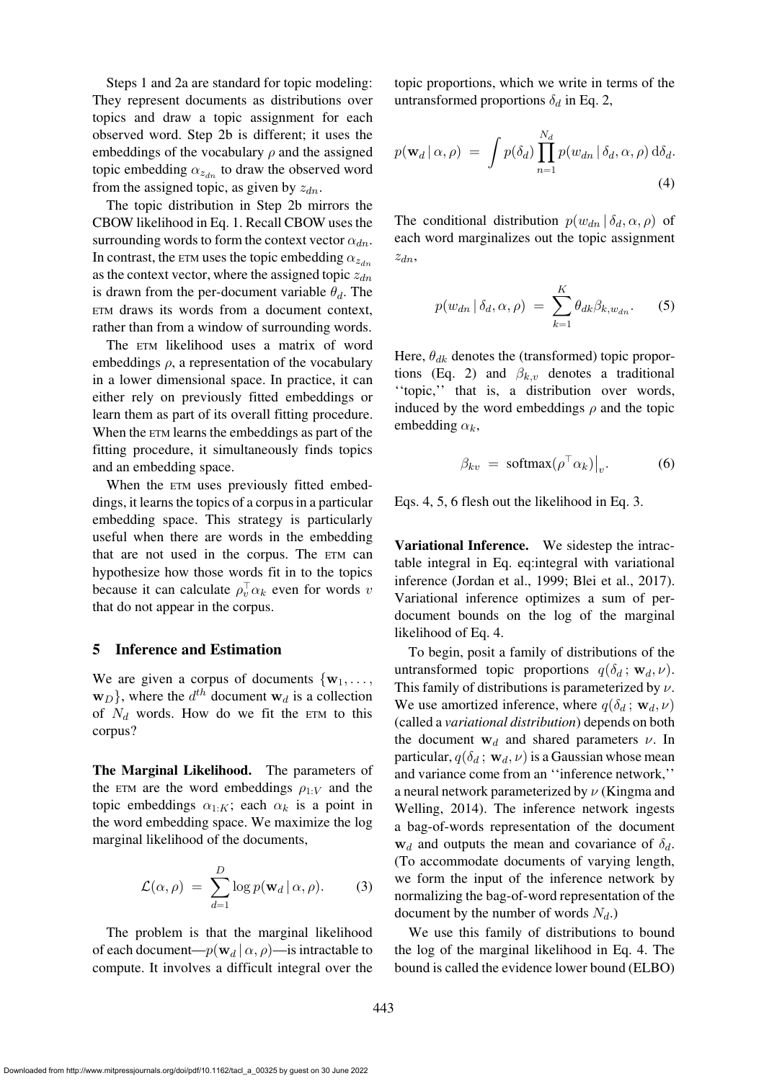Steps 1 and 2a are standard for topic modeling: They represent documents as distributions over topics and draw a topic assignment for each observed word. Step 2b is different; it uses the embeddings of the vocabulary  $\rho$  and the assigned topic embedding  $\alpha_{z_{dn}}$  to draw the observed word from the assigned topic, as given by  $z_{dn}$ .

The topic distribution in Step 2b mirrors the CBOW likelihood in Eq. [1.](#page-3-0) Recall CBOW uses the surrounding words to form the context vector  $\alpha_{dn}$ . In contrast, the ETM uses the topic embedding  $\alpha_{z_{dn}}$ as the context vector, where the assigned topic  $z_{dn}$ is drawn from the per-document variable  $\theta_d$ . The ETM draws its words from a document context, rather than from a window of surrounding words.

The ETM likelihood uses a matrix of word embeddings  $\rho$ , a representation of the vocabulary in a lower dimensional space. In practice, it can either rely on previously fitted embeddings or learn them as part of its overall fitting procedure. When the ETM learns the embeddings as part of the fitting procedure, it simultaneously finds topics and an embedding space.

When the  $ETM$  uses previously fitted embeddings, it learns the topics of a corpus in a particular embedding space. This strategy is particularly useful when there are words in the embedding that are not used in the corpus. The ETM can hypothesize how those words fit in to the topics because it can calculate  $\rho_v^{\top} \alpha_k$  even for words v that do not appear in the corpus.

#### <span id="page-4-0"></span>5 Inference and Estimation

We are given a corpus of documents  $\{w_1, \ldots, w_n\}$  $\mathbf{w}_D$ }, where the  $d^{th}$  document  $\mathbf{w}_d$  is a collection of  $N_d$  words. How do we fit the ETM to this corpus?

The Marginal Likelihood. The parameters of the ETM are the word embeddings  $\rho_{1:V}$  and the topic embeddings  $\alpha_{1:K}$ ; each  $\alpha_k$  is a point in the word embedding space. We maximize the log marginal likelihood of the documents,

$$
\mathcal{L}(\alpha,\rho) = \sum_{d=1}^{D} \log p(\mathbf{w}_d | \alpha, \rho).
$$
 (3)

The problem is that the marginal likelihood of each document— $p(\mathbf{w}_d | \alpha, \rho)$ —is intractable to compute. It involves a difficult integral over the topic proportions, which we write in terms of the untransformed proportions  $\delta_d$  in Eq. [2,](#page-3-1)

$$
p(\mathbf{w}_d | \alpha, \rho) = \int p(\delta_d) \prod_{n=1}^{N_d} p(w_{dn} | \delta_d, \alpha, \rho) d\delta_d.
$$
\n(4)

The conditional distribution  $p(w_{dn} | \delta_d, \alpha, \rho)$  of each word marginalizes out the topic assignment  $z_{dn}$ ,

<span id="page-4-2"></span><span id="page-4-1"></span>
$$
p(w_{dn} | \delta_d, \alpha, \rho) = \sum_{k=1}^{K} \theta_{dk} \beta_{k, w_{dn}}.
$$
 (5)

Here,  $\theta_{dk}$  denotes the (transformed) topic propor-tions (Eq. [2\)](#page-3-1) and  $\beta_{k,v}$  denotes a traditional ''topic,'' that is, a distribution over words, induced by the word embeddings  $\rho$  and the topic embedding  $\alpha_k$ ,

<span id="page-4-3"></span>
$$
\beta_{kv} = \text{softmax}(\rho^\top \alpha_k)|_v. \tag{6}
$$

Eqs. [4,](#page-4-1) [5,](#page-4-2) [6](#page-4-3) flesh out the likelihood in Eq. [3.](#page-4-4)

Variational Inference. We sidestep the intractable integral in Eq. eq:integral with variational inference [\(Jordan et al.](#page-12-6), [1999;](#page-12-6) [Blei et al., 2017](#page-11-5)). Variational inference optimizes a sum of perdocument bounds on the log of the marginal likelihood of Eq. [4.](#page-4-1)

To begin, posit a family of distributions of the untransformed topic proportions  $q(\delta_d; \mathbf{w}_d, \nu)$ . This family of distributions is parameterized by  $\nu$ . We use amortized inference, where  $q(\delta_d; \mathbf{w}_d, \nu)$ (called a *variational distribution*) depends on both the document  $w_d$  and shared parameters  $\nu$ . In particular,  $q(\delta_d; \mathbf{w}_d, \nu)$  is a Gaussian whose mean and variance come from an ''inference network,'' a neural [network parameterized by](#page-12-7)  $\nu$  (Kingma and Welling, [2014\)](#page-12-7). The inference network ingests a bag-of-words representation of the document  $w_d$  and outputs the mean and covariance of  $\delta_d$ . (To accommodate documents of varying length, we form the input of the inference network by normalizing the bag-of-word representation of the document by the number of words  $N_d$ .)

<span id="page-4-4"></span>We use this family of distributions to bound the log of the marginal likelihood in Eq. [4.](#page-4-1) The bound is called the evidence lower bound (ELBO)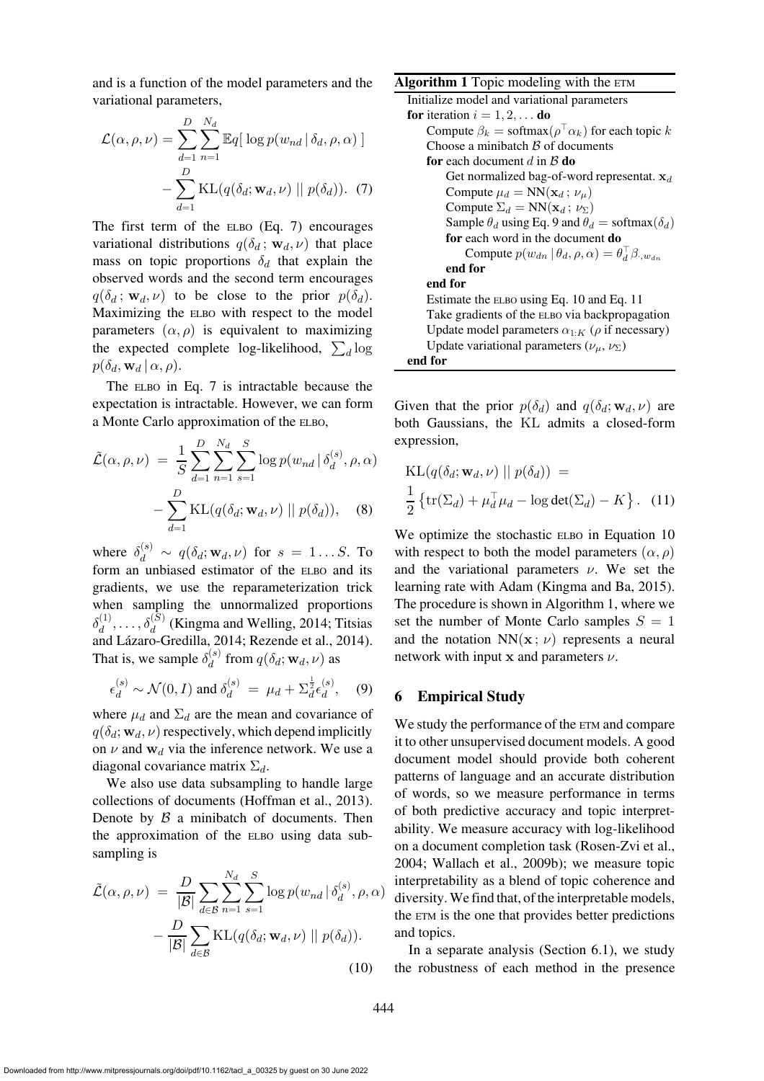and is a function of the model parameters and the variational parameters,

$$
\mathcal{L}(\alpha, \rho, \nu) = \sum_{d=1}^{D} \sum_{n=1}^{N_d} \mathbb{E}q\left[\log p(w_{nd} | \delta_d, \rho, \alpha)\right] - \sum_{d=1}^{D} \text{KL}(q(\delta_d; \mathbf{w}_d, \nu) || p(\delta_d)). \tag{7}
$$

The first term of the ELBO (Eq. [7\)](#page-5-1) encourages variational distributions  $q(\delta_d; \mathbf{w}_d, \nu)$  that place mass on topic proportions  $\delta_d$  that explain the observed words and the second term encourages  $q(\delta_d; \mathbf{w}_d, \nu)$  to be close to the prior  $p(\delta_d)$ . Maximizing the ELBO with respect to the model parameters  $(\alpha, \rho)$  is equivalent to maximizing the expected complete log-likelihood,  $\sum_d \log$  $p(\delta_d, \mathbf{w}_d | \alpha, \rho).$ 

The ELBO in Eq. [7](#page-5-1) is intractable because the expectation is intractable. However, we can form a Monte Carlo approximation of the ELBO,

$$
\tilde{\mathcal{L}}(\alpha, \rho, \nu) = \frac{1}{S} \sum_{d=1}^{D} \sum_{n=1}^{N_d} \sum_{s=1}^{S} \log p(w_{nd} | \delta_d^{(s)}, \rho, \alpha)
$$

$$
- \sum_{d=1}^{D} \text{KL}(q(\delta_d; \mathbf{w}_d, \nu) || p(\delta_d)), \quad (8)
$$

where  $\delta_d^{(s)} \sim q(\delta_d; \mathbf{w}_d, \nu)$  for  $s = 1...S$ . To form an unbiased estimator of the ELBO and its gradients, we use the reparameterization trick when sampling the unnormalized proportions  $\delta_d^{(1)}, \ldots, \delta_d^{(S)}$  $\delta_d^{(1)}, \ldots, \delta_d^{(S)}$  $\delta_d^{(1)}, \ldots, \delta_d^{(S)}$  [\(Kingma and Welling](#page-12-7), [2014](#page-12-7)[;](#page-13-16) Titsias  $\omega_d$ , ...,  $\omega_d$  (Kingina and Weiling, 2014, Trislas and Lázaro-Gredilla, [2014;](#page-13-16) [Rezende et al.](#page-13-5), [2014\)](#page-13-5). That is, we sample  $\delta_d^{(s)}$  $\mathbf{d}_{d}^{(s)}$  from  $q(\delta_d; \mathbf{w}_d, \nu)$  as

$$
\epsilon_d^{(s)} \sim \mathcal{N}(0, I) \text{ and } \delta_d^{(s)} = \mu_d + \Sigma_d^{\frac{1}{2}} \epsilon_d^{(s)}, \quad (9)
$$

where  $\mu_d$  and  $\Sigma_d$  are the mean and covariance of  $q(\delta_d; \mathbf{w}_d, \nu)$  respectively, which depend implicitly on  $\nu$  and  $w_d$  via the inference network. We use a diagonal covariance matrix  $\Sigma_d$ .

We also use data subsampling to handle large collections of documents [\(Hoffman et al., 2013\)](#page-12-1). Denote by  $\beta$  a minibatch of documents. Then the approximation of the ELBO using data subsampling is

$$
\tilde{\mathcal{L}}(\alpha, \rho, \nu) = \frac{D}{|\mathcal{B}|} \sum_{d \in \mathcal{B}} \sum_{n=1}^{N_d} \sum_{s=1}^{S} \log p(w_{nd} | \delta_d^{(s)}, \rho, \alpha) - \frac{D}{|\mathcal{B}|} \sum_{d \in \mathcal{B}} \text{KL}(q(\delta_d; \mathbf{w}_d, \nu) || p(\delta_d)).
$$
\n(10)

<span id="page-5-5"></span><span id="page-5-1"></span>Algorithm 1 Topic modeling with the ETM Initialize model and variational parameters for iteration  $i = 1, 2, \dots$  do Compute  $\beta_k = \text{softmax}(\rho^\top \alpha_k)$  for each topic  $k$ Choose a minibatch  $\beta$  of documents for each document  $d$  in  $\beta$  do Get normalized bag-of-word representat.  $x_d$ Compute  $\mu_d = NN(\mathbf{x}_d; \nu_\mu)$ Compute  $\Sigma_d = NN(\mathbf{x}_d; \nu_\Sigma)$ Sample  $\theta_d$  using Eq. [9](#page-5-2) and  $\theta_d$  = softmax( $\delta_d$ ) for each word in the document do Compute  $p(w_{dn} | \theta_d, \rho, \alpha) = \theta_d^{\top} \beta_{\cdot, w_{dn}}$ end for end for Estimate the ELBO using Eq. [10](#page-5-3) and Eq. [11](#page-5-4) Take gradients of the ELBO via backpropagation Update model parameters  $\alpha_{1:K}$  ( $\rho$  if necessary) Update variational parameters ( $\nu_{\mu}$ ,  $\nu_{\Sigma}$ ) end for

Given that the prior  $p(\delta_d)$  and  $q(\delta_d; \mathbf{w}_d, \nu)$  are both Gaussians, the KL admits a closed-form expression,

<span id="page-5-4"></span>
$$
KL(q(\delta_d; \mathbf{w}_d, \nu) || p(\delta_d)) =
$$
  

$$
\frac{1}{2} \{ tr(\Sigma_d) + \mu_d^{\top} \mu_d - \log det(\Sigma_d) - K \}.
$$
 (11)

We optimize the stochastic ELBO in Equation [10](#page-5-3) with respect to both the model parameters  $(\alpha, \rho)$ and the variational parameters  $\nu$ . We set the learning rate with Adam [\(Kingma and Ba](#page-12-16), [2015](#page-12-16)). The procedure is shown in Algorithm [1,](#page-5-5) where we set the number of Monte Carlo samples  $S = 1$ and the notation  $NN(x; \nu)$  represents a neural network with input  $x$  and parameters  $\nu$ .

### <span id="page-5-2"></span><span id="page-5-0"></span>6 Empirical Study

We study the performance of the ETM and compare it to other unsupervised document models. A good document model should provide both coherent patterns of language and an accurate distribution of words, so we measure performance in terms of both predictive accuracy and topic interpretability. We measure accuracy with log-likelihood on a document completion task [\(Rosen-Zvi et al.,](#page-13-17) [2004](#page-13-17); [Wallach et al.](#page-13-7), [2009b\)](#page-13-7); we measure topic interpretability as a blend of topic coherence and diversity.We find that, of the interpretable models, the ETM is the one that provides better predictions and topics.

<span id="page-5-3"></span>In a separate analysis (Section [6.1\)](#page-10-0), we study the robustness of each method in the presence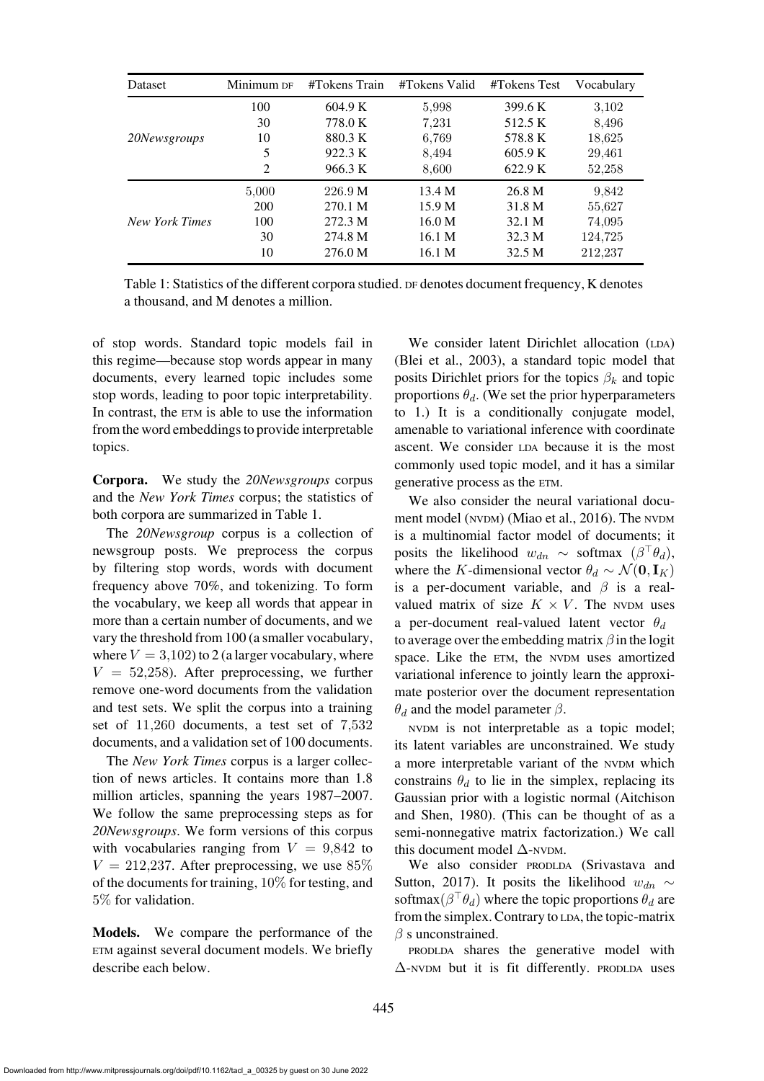| <b>Dataset</b>        | Minimum DF | #Tokens Train                                                                                                                                                                                 | #Tokens Valid | #Tokens Test | Vocabulary |
|-----------------------|------------|-----------------------------------------------------------------------------------------------------------------------------------------------------------------------------------------------|---------------|--------------|------------|
|                       | 100        | 604.9 K                                                                                                                                                                                       | 5,998         | 399.6 K      | 3,102      |
|                       | 30         | 778.0 K                                                                                                                                                                                       | 7,231         | 512.5 K      | 8,496      |
| 20Newsgroups          | 10         | 880.3K<br>6,769<br>5<br>922.3 K<br>8,494<br>2<br>8,600<br>966.3 K<br>5,000<br>226.9 M<br>13.4 M<br>200<br>15.9 <sub>M</sub><br>270.1 M<br>100<br>272.3 M<br>16.0 M<br>30<br>274.8 M<br>16.1 M | 578.8 K       | 18,625       |            |
|                       |            |                                                                                                                                                                                               |               | 605.9 K      | 29,461     |
|                       |            |                                                                                                                                                                                               |               | 622.9 K      | 52,258     |
|                       |            |                                                                                                                                                                                               |               | 26.8 M       | 9,842      |
|                       |            |                                                                                                                                                                                               |               | 31.8 M       | 55,627     |
| <b>New York Times</b> |            |                                                                                                                                                                                               |               | 32.1 M       | 74,095     |
|                       |            |                                                                                                                                                                                               |               | 32.3 M       | 124,725    |
|                       | 10         | 276.0 M                                                                                                                                                                                       | 16.1 M        | 32.5 M       | 212.237    |

<span id="page-6-0"></span>

| Table 1: Statistics of the different corpora studied. DF denotes document frequency, K denotes |  |
|------------------------------------------------------------------------------------------------|--|
| a thousand, and M denotes a million.                                                           |  |

of stop words. Standard topic models fail in this regime—because stop words appear in many documents, every learned topic includes some stop words, leading to poor topic interpretability. In contrast, the ETM is able to use the information from the word embeddings to provide interpretable topics.

Corpora. We study the *20Newsgroups* corpus and the *New York Times* corpus; the statistics of both corpora are summarized in [Table 1.](#page-6-0)

The *20Newsgroup* corpus is a collection of newsgroup posts. We preprocess the corpus by filtering stop words, words with document frequency above 70%, and tokenizing. To form the vocabulary, we keep all words that appear in more than a certain number of documents, and we vary the threshold from 100 (a smaller vocabulary, where  $V = 3,102$  to 2 (a larger vocabulary, where  $V = 52,258$ . After preprocessing, we further remove one-word documents from the validation and test sets. We split the corpus into a training set of 11,260 documents, a test set of 7,532 documents, and a validation set of 100 documents.

The *New York Times* corpus is a larger collection of news articles. It contains more than 1.8 million articles, spanning the years 1987–2007. We follow the same preprocessing steps as for *20Newsgroups*. We form versions of this corpus with vocabularies ranging from  $V = 9,842$  to  $V = 212,237$ . After preprocessing, we use 85% of the documents for training, 10% for testing, and 5% for validation.

Models. We compare the performance of the ETM against several document models. We briefly describe each below.

We consider latent Dirichlet allocation (LDA) [\(Blei et al.](#page-11-0), [2003](#page-11-0)), a standard topic model that posits Dirichlet priors for the topics  $\beta_k$  and topic proportions  $\theta_d$ . (We set the prior hyperparameters to 1.) It is a conditionally conjugate model, amenable to variational inference with coordinate ascent. We consider LDA because it is the most commonly used topic model, and it has a similar generative process as the ETM.

We also consider the neural variational document model (NVDM) [\(Miao et al.](#page-12-8), [2016](#page-12-8)). The NVDM is a multinomial factor model of documents; it posits the likelihood  $w_{dn} \sim$  softmax  $(\beta^{\top} \theta_d)$ , where the K-dimensional vector  $\theta_d \sim \mathcal{N}(\mathbf{0}, \mathbf{I}_K)$ is a per-document variable, and  $\beta$  is a realvalued matrix of size  $K \times V$ . The NVDM uses a per-document real-valued latent vector  $\theta_d$ to average over the embedding matrix  $\beta$  in the logit space. Like the ETM, the NVDM uses amortized variational inference to jointly learn the approximate posterior over the document representation  $\theta_d$  and the model parameter  $\beta$ .

NVDM is not interpretable as a topic model; its latent variables are unconstrained. We study a more interpretable variant of the NVDM which constrains  $\theta_d$  to lie in the simplex, replacing its Gaussian [prior with a logistic normal \(](#page-11-9)Aitchison and Shen, [1980\)](#page-11-9). (This can be thought of as a semi-nonnegative matrix factorization.) We call this document model  $\Delta$ -NVDM.

We [also consider](#page-13-6) PRODLDA (Srivastava and Sutton, [2017\)](#page-13-6). It posits the likelihood  $w_{dn} \sim$ softmax $(\beta^{\top}\theta_d)$  where the topic proportions  $\theta_d$  are from the simplex. Contrary to LDA, the topic-matrix  $\beta$  s unconstrained.

PRODLDA shares the generative model with  $\Delta$ -NVDM but it is fit differently. PRODLDA uses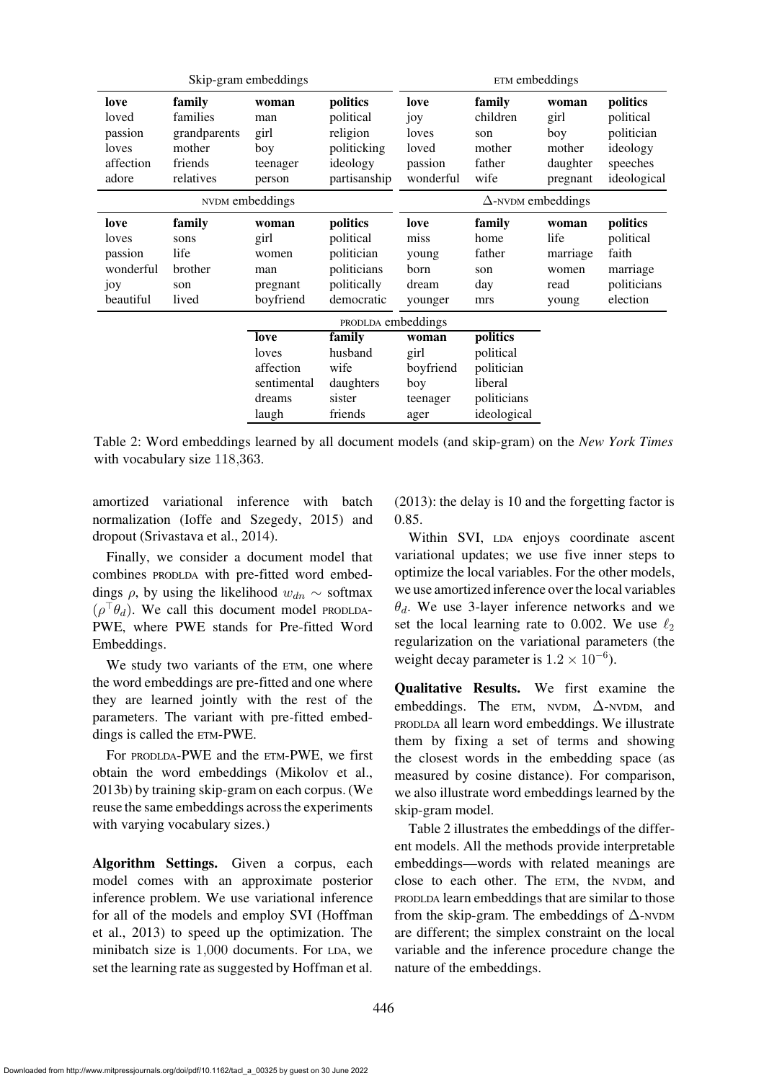| Skip-gram embeddings                                      |                                                                      |                                                              | ETM embeddings                                                                  |                                                       |                                                                              |                                                        |                                                                            |
|-----------------------------------------------------------|----------------------------------------------------------------------|--------------------------------------------------------------|---------------------------------------------------------------------------------|-------------------------------------------------------|------------------------------------------------------------------------------|--------------------------------------------------------|----------------------------------------------------------------------------|
| love<br>loved<br>passion<br>loves<br>affection<br>adore   | family<br>families<br>grandparents<br>mother<br>friends<br>relatives | woman<br>man<br>girl<br>boy<br>teenager<br>person            | politics<br>political<br>religion<br>politicking<br>ideology<br>partisanship    | love<br>joy<br>loves<br>loved<br>passion<br>wonderful | family<br>children<br>son<br>mother<br>father<br>wife                        | woman<br>girl<br>boy<br>mother<br>daughter<br>pregnant | politics<br>political<br>politician<br>ideology<br>speeches<br>ideological |
|                                                           |                                                                      | NVDM embeddings                                              |                                                                                 | $\Delta$ -NVDM embeddings                             |                                                                              |                                                        |                                                                            |
| love<br>loves<br>passion<br>wonderful<br>joy<br>beautiful | family<br>sons<br>life<br>brother<br>son<br>lived                    | woman<br>girl<br>women<br>man<br>pregnant<br>boyfriend       | politics<br>political<br>politician<br>politicians<br>politically<br>democratic | love<br>miss<br>young<br>born<br>dream<br>younger     | family<br>home<br>father<br>son<br>day<br>mrs                                | woman<br>life<br>marriage<br>women<br>read<br>young    | politics<br>political<br>faith<br>marriage<br>politicians<br>election      |
|                                                           |                                                                      |                                                              | PRODLDA embeddings                                                              |                                                       |                                                                              |                                                        |                                                                            |
|                                                           |                                                                      | love<br>loves<br>affection<br>sentimental<br>dreams<br>laugh | family<br>husband<br>wife<br>daughters<br>sister<br>friends                     | woman<br>girl<br>boyfriend<br>boy<br>teenager<br>ager | politics<br>political<br>politician<br>liberal<br>politicians<br>ideological |                                                        |                                                                            |

<span id="page-7-0"></span>Table 2: Word embeddings learned by all document models (and skip-gram) on the *New York Times* with vocabulary size 118,363.

amortized variational inference with batch normalization [\(Ioffe and Szegedy](#page-12-17), [2015\)](#page-12-17) and dropout [\(Srivastava et al., 2014](#page-13-18)).

Finally, we consider a document model that combines PRODLDA with pre-fitted word embeddings  $\rho$ , by using the likelihood  $w_{dn} \sim$  softmax  $(\rho^{\top} \theta_d)$ . We call this document model PRODLDA-PWE, where PWE stands for Pre-fitted Word Embeddings.

We study two variants of the ETM, one where the word embeddings are pre-fitted and one where they are learned jointly with the rest of the parameters. The variant with pre-fitted embeddings is called the ETM-PWE.

For PRODLDA-PWE and the ETM-PWE, we first obtain the word embeddings [\(Mikolov et al.,](#page-13-1) [2013b\)](#page-13-1) by training skip-gram on each corpus. (We reuse the same embeddings across the experiments with varying vocabulary sizes.)

Algorithm Settings. Given a corpus, each model comes with an approximate posterior inference problem. We use variational inference for a[ll of the models and employ SVI \(](#page-12-1)Hoffman et al., [2013\)](#page-12-1) to speed up the optimization. The minibatch size is 1,000 documents. For LDA, we set the learning rate as suggested by [Hoffman et al.](#page-12-1)

[\(2013](#page-12-1)): the delay is 10 and the forgetting factor is 0.85.

Within SVI, LDA enjoys coordinate ascent variational updates; we use five inner steps to optimize the local variables. For the other models, we use amortized inference over the local variables  $\theta_d$ . We use 3-layer inference networks and we set the local learning rate to 0.002. We use  $\ell_2$ regularization on the variational parameters (the weight decay parameter is  $1.2 \times 10^{-6}$ ).

Qualitative Results. We first examine the embeddings. The  $ETM$ , NVDM,  $\Delta$ -NVDM, and PRODLDA all learn word embeddings. We illustrate them by fixing a set of terms and showing the closest words in the embedding space (as measured by cosine distance). For comparison, we also illustrate word embeddings learned by the skip-gram model.

[Table 2](#page-7-0) illustrates the embeddings of the different models. All the methods provide interpretable embeddings—words with related meanings are close to each other. The ETM, the NVDM, and PRODLDA learn embeddings that are similar to those from the skip-gram. The embeddings of  $\Delta$ -NVDM are different; the simplex constraint on the local variable and the inference procedure change the nature of the embeddings.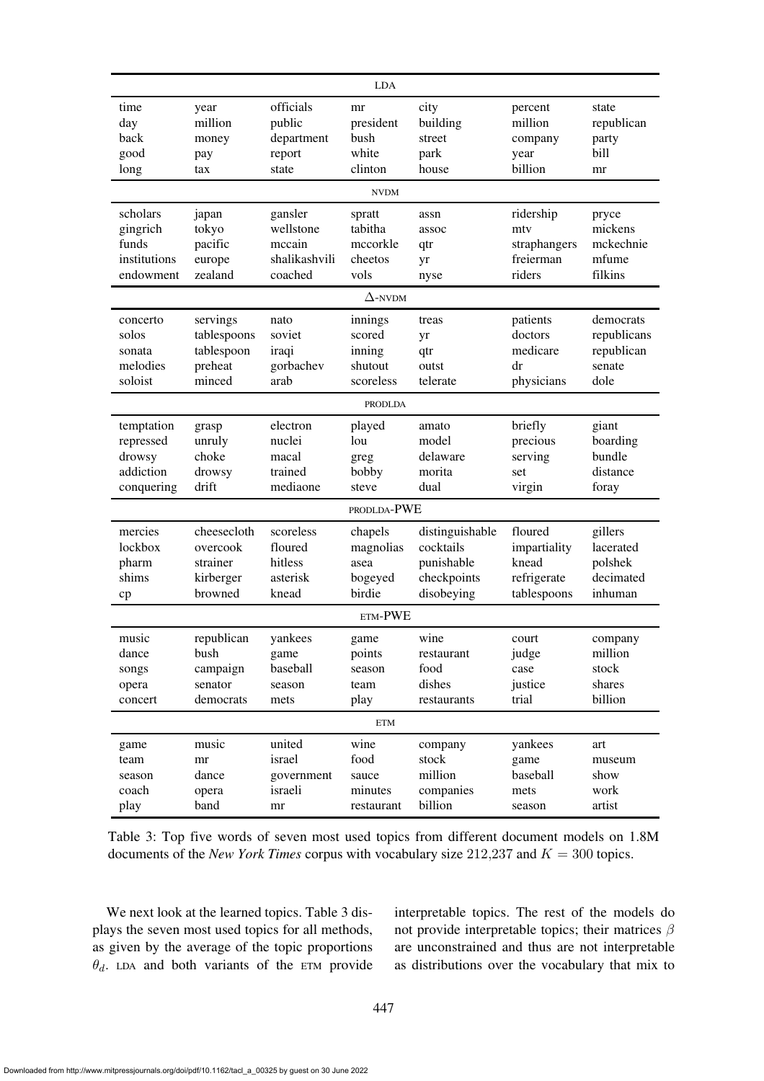| <b>LDA</b>   |             |               |                |                 |                        |             |
|--------------|-------------|---------------|----------------|-----------------|------------------------|-------------|
| time         | year        | officials     | mr             | city            | percent                | state       |
| day          | million     | public        | president      | building        | million                | republican  |
| back         | money       | department    | bush           | street          | company                | party       |
| good         | pay         | report        | white          | park            | year                   | bill        |
| long         | tax         | state         | clinton        | house           | billion                | mr          |
|              |             |               | <b>NVDM</b>    |                 |                        |             |
| scholars     | japan       | gansler       | spratt         | assn            | ridership              | pryce       |
| gingrich     | tokyo       | wellstone     | tabitha        | assoc           | mty                    | mickens     |
| funds        | pacific     | mccain        | mccorkle       | qtr             | straphangers           | mckechnie   |
| institutions | europe      | shalikashvili | cheetos        | yr              | freierman              | mfume       |
| endowment    | zealand     | coached       | vols           | nyse            | riders                 | filkins     |
|              |             |               | $\Delta$ -NVDM |                 |                        |             |
| concerto     | servings    | nato          | innings        | treas           | patients               | democrats   |
| solos        | tablespoons | soviet        | scored         | yr              | doctors                | republicans |
| sonata       | tablespoon  | iraqi         | inning         | qtr             | medicare               | republican  |
| melodies     | preheat     | gorbachev     | shutout        | outst           | $\mathrm{d}\mathbf{r}$ | senate      |
| soloist      | minced      | arab          | scoreless      | telerate        | physicians             | dole        |
|              |             |               | <b>PRODLDA</b> |                 |                        |             |
| temptation   | grasp       | electron      | played         | amato           | briefly                | giant       |
| repressed    | unruly      | nuclei        | lou            | model           | precious               | boarding    |
| drowsy       | choke       | macal         | greg           | delaware        | serving                | bundle      |
| addiction    | drowsy      | trained       | bobby          | morita          | set                    | distance    |
| conquering   | drift       | mediaone      | steve          | dual            | virgin                 | foray       |
|              |             |               | PRODLDA-PWE    |                 |                        |             |
| mercies      | cheesecloth | scoreless     | chapels        | distinguishable | floured                | gillers     |
| lockbox      | overcook    | floured       | magnolias      | cocktails       | impartiality           | lacerated   |
| pharm        | strainer    | hitless       | asea           | punishable      | knead                  | polshek     |
| shims        | kirberger   | asterisk      | bogeyed        | checkpoints     | refrigerate            | decimated   |
| cp           | browned     | knead         | birdie         | disobeying      | tablespoons            | inhuman     |
| ETM-PWE      |             |               |                |                 |                        |             |
| music        | republican  | yankees       | game           | wine            | court                  | company     |
| dance        | bush        | game          | points         | restaurant      | judge                  | million     |
| songs        | campaign    | baseball      | season         | food            | case                   | stock       |
| opera        | senator     | season        | team           | dishes          | justice                | shares      |
| concert      | democrats   | mets          | play           | restaurants     | trial                  | billion     |
| <b>ETM</b>   |             |               |                |                 |                        |             |
| game         | music       | united        | wine           | company         | yankees                | art         |
| team         | mr          | israel        | food           | stock           | game                   | museum      |
| season       | dance       | government    | sauce          | million         | baseball               | show        |
| coach        | opera       | israeli       | minutes        | companies       | mets                   | work        |
| play         | band        | mr            | restaurant     | billion         | season                 | artist      |

<span id="page-8-0"></span>Table 3: Top five words of seven most used topics from different document models on 1.8M documents of the *New York Times* corpus with vocabulary size 212,237 and  $K = 300$  topics.

We next look at the learned topics. [Table 3](#page-8-0) displays the seven most used topics for all methods, as given by the average of the topic proportions  $\theta_d$ . LDA and both variants of the ETM provide interpretable topics. The rest of the models do not provide interpretable topics; their matrices  $\beta$ are unconstrained and thus are not interpretable as distributions over the vocabulary that mix to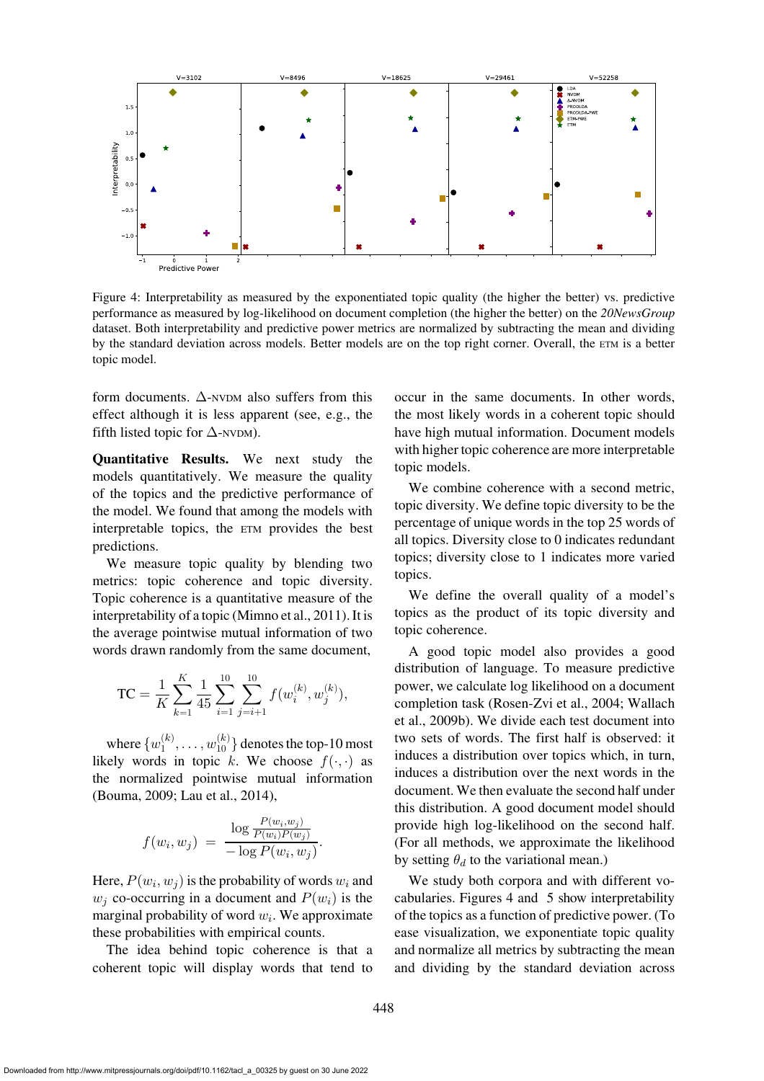

<span id="page-9-0"></span>Figure 4: Interpretability as measured by the exponentiated topic quality (the higher the better) vs. predictive performance as measured by log-likelihood on document completion (the higher the better) on the *20NewsGroup* dataset. Both interpretability and predictive power metrics are normalized by subtracting the mean and dividing by the standard deviation across models. Better models are on the top right corner. Overall, the ETM is a better topic model.

form documents.  $\Delta$ -NVDM also suffers from this effect although it is less apparent (see, e.g., the fifth listed topic for  $\Delta$ -NVDM).

Quantitative Results. We next study the models quantitatively. We measure the quality of the topics and the predictive performance of the model. We found that among the models with interpretable topics, the ETM provides the best predictions.

We measure topic quality by blending two metrics: topic coherence and topic diversity. Topic coherence is a quantitative measure of the interpretability of a topic [\(Mimno et al.](#page-13-8), [2011](#page-13-8)). It is the average pointwise mutual information of two words drawn randomly from the same document,

$$
TC = \frac{1}{K} \sum_{k=1}^{K} \frac{1}{45} \sum_{i=1}^{10} \sum_{j=i+1}^{10} f(w_i^{(k)}, w_j^{(k)}),
$$

where  $\{w_1^{(k)}\}$  $\mathbf{u}_1^{(k)},\ldots,\mathbf{w}_{10}^{(k)}\}$  denotes the top-10 most likely words in topic k. We choose  $f(\cdot, \cdot)$  as the normalized pointwise mutual information [\(Bouma, 2009;](#page-11-11) [Lau et al., 2014\)](#page-12-18),

$$
f(w_i, w_j) = \frac{\log \frac{P(w_i, w_j)}{P(w_i)P(w_j)}}{-\log P(w_i, w_j)}.
$$

Here,  $P(w_i, w_j)$  is the probability of words  $w_i$  and  $w_i$  co-occurring in a document and  $P(w_i)$  is the marginal probability of word  $w_i$ . We approximate these probabilities with empirical counts.

The idea behind topic coherence is that a coherent topic will display words that tend to

occur in the same documents. In other words, the most likely words in a coherent topic should have high mutual information. Document models with higher topic coherence are more interpretable topic models.

We combine coherence with a second metric, topic diversity. We define topic diversity to be the percentage of unique words in the top 25 words of all topics. Diversity close to 0 indicates redundant topics; diversity close to 1 indicates more varied topics.

We define the overall quality of a model's topics as the product of its topic diversity and topic coherence.

A good topic model also provides a good distribution of language. To measure predictive power, we calculate log likelihood on a document com[pletion task](#page-13-7) [\(Rosen-Zvi et al.](#page-13-17)[,](#page-13-7) [2004](#page-13-17)[;](#page-13-7) Wallach et al., [2009b](#page-13-7)). We divide each test document into two sets of words. The first half is observed: it induces a distribution over topics which, in turn, induces a distribution over the next words in the document. We then evaluate the second half under this distribution. A good document model should provide high log-likelihood on the second half. (For all methods, we approximate the likelihood by setting  $\theta_d$  to the variational mean.)

We study both corpora and with different vocabularies. [Figures 4](#page-9-0) and [5](#page-10-1) show interpretability of the topics as a function of predictive power. (To ease visualization, we exponentiate topic quality and normalize all metrics by subtracting the mean and dividing by the standard deviation across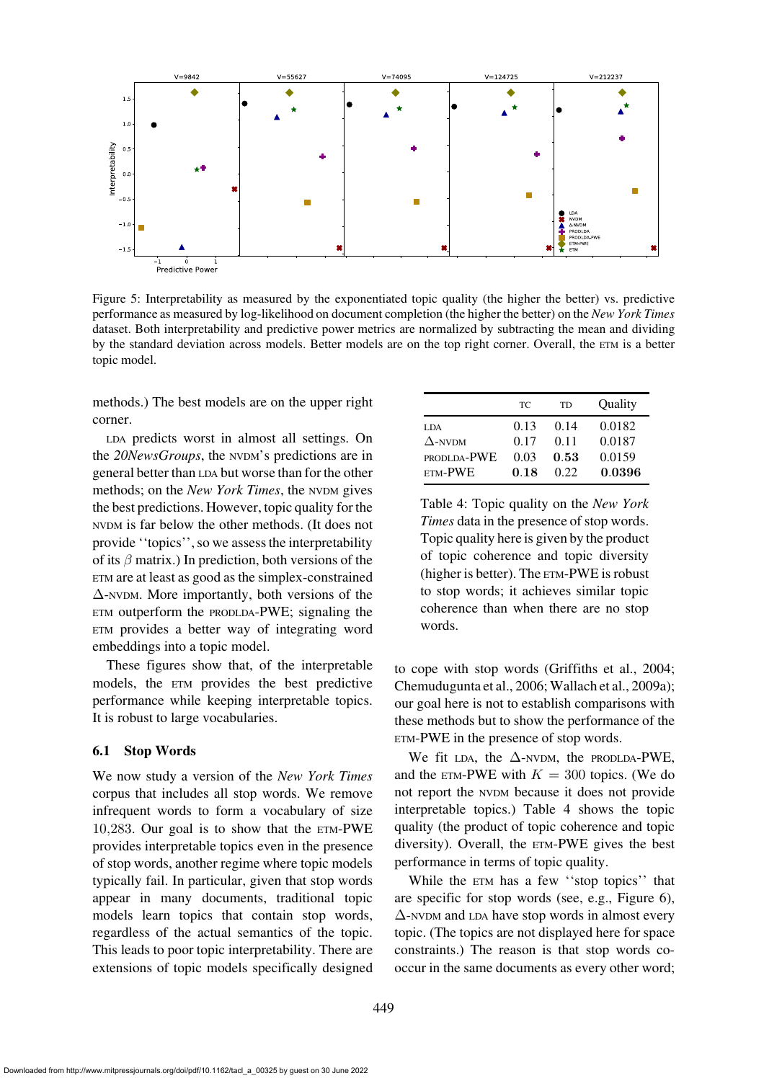

<span id="page-10-1"></span>Figure 5: Interpretability as measured by the exponentiated topic quality (the higher the better) vs. predictive performance as measured by log-likelihood on document completion (the higher the better) on the *New York Times* dataset. Both interpretability and predictive power metrics are normalized by subtracting the mean and dividing by the standard deviation across models. Better models are on the top right corner. Overall, the ETM is a better topic model.

methods.) The best models are on the upper right corner.

LDA predicts worst in almost all settings. On the *20NewsGroups*, the NVDM's predictions are in general better than LDA but worse than for the other methods; on the *New York Times*, the NVDM gives the best predictions. However, topic quality for the NVDM is far below the other methods. (It does not provide ''topics'', so we assess the interpretability of its  $\beta$  matrix.) In prediction, both versions of the ETM are at least as good as the simplex-constrained ∆-NVDM. More importantly, both versions of the ETM outperform the PRODLDA-PWE; signaling the ETM provides a better way of integrating word embeddings into a topic model.

These figures show that, of the interpretable models, the ETM provides the best predictive performance while keeping interpretable topics. It is robust to large vocabularies.

#### <span id="page-10-0"></span>6.1 Stop Words

We now study a version of the *New York Times* corpus that includes all stop words. We remove infrequent words to form a vocabulary of size 10,283. Our goal is to show that the ETM-PWE provides interpretable topics even in the presence of stop words, another regime where topic models typically fail. In particular, given that stop words appear in many documents, traditional topic models learn topics that contain stop words, regardless of the actual semantics of the topic. This leads to poor topic interpretability. There are extensions of topic models specifically designed

|                | TС   | TD   | Quality |
|----------------|------|------|---------|
| LDA.           | 0.13 | 0.14 | 0.0182  |
| $\Delta$ -NVDM | 0.17 | 0.11 | 0.0187  |
| PRODLDA-PWE    | 0.03 | 0.53 | 0.0159  |
| ETM-PWE        | 0.18 | 0.22 | 0.0396  |

<span id="page-10-2"></span>Table 4: Topic quality on the *New York Times* data in the presence of stop words. Topic quality here is given by the product of topic coherence and topic diversity (higher is better). The ETM-PWE is robust to stop words; it achieves similar topic coherence than when there are no stop words.

to cope with stop words [\(Griffiths et al.](#page-12-19), [2004;](#page-12-19) [Chemudugunta et al., 2006](#page-12-20); [Wallach et al.](#page-13-19), [2009a\)](#page-13-19); our goal here is not to establish comparisons with these methods but to show the performance of the ETM-PWE in the presence of stop words.

We fit LDA, the  $\Delta$ -NVDM, the PRODLDA-PWE, and the ETM-PWE with  $K = 300$  topics. (We do not report the NVDM because it does not provide interpretable topics.) [Table 4](#page-10-2) shows the topic quality (the product of topic coherence and topic diversity). Overall, the ETM-PWE gives the best performance in terms of topic quality.

While the ETM has a few ''stop topics'' that are specific for stop words (see, e.g., [Figure 6\)](#page-11-12), ∆-NVDM and LDA have stop words in almost every topic. (The topics are not displayed here for space constraints.) The reason is that stop words cooccur in the same documents as every other word;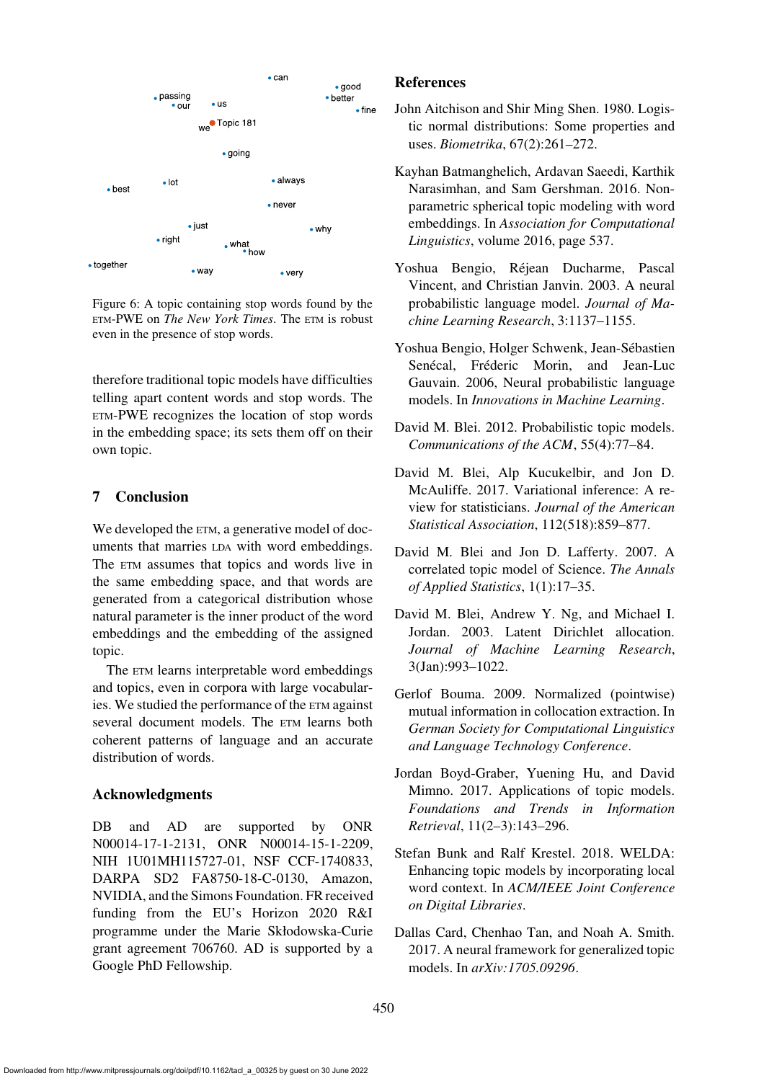

<span id="page-11-12"></span>Figure 6: A topic containing stop words found by the ETM-PWE on *The New York Times*. The ETM is robust even in the presence of stop words.

therefore traditional topic models have difficulties telling apart content words and stop words. The ETM-PWE recognizes the location of stop words in the embedding space; its sets them off on their own topic.

# 7 Conclusion

We developed the  $ETM$ , a generative model of documents that marries LDA with word embeddings. The ETM assumes that topics and words live in the same embedding space, and that words are generated from a categorical distribution whose natural parameter is the inner product of the word embeddings and the embedding of the assigned topic.

The ETM learns interpretable word embeddings and topics, even in corpora with large vocabularies. We studied the performance of the ETM against several document models. The ETM learns both coherent patterns of language and an accurate distribution of words.

# Acknowledgments

DB and AD are supported by ONR N00014-17-1-2131, ONR N00014-15-1-2209, NIH 1U01MH115727-01, NSF CCF-1740833, DARPA SD2 FA8750-18-C-0130, Amazon, NVIDIA, and the Simons Foundation. FR received funding from the EU's Horizon 2020 R&I programme under the Marie Skłodowska-Curie grant agreement 706760. AD is supported by a Google PhD Fellowship.

### **References**

- <span id="page-11-9"></span>John Aitchison and Shir Ming Shen. 1980. Logistic normal distributions: Some properties and uses. *Biometrika*, 67(2):261–272.
- <span id="page-11-7"></span>Kayhan Batmanghelich, Ardavan Saeedi, Karthik Narasimhan, and Sam Gershman. 2016. Nonparametric spherical topic modeling with word embeddings. In *Association for Computational Linguistics*, volume 2016, page 537.
- <span id="page-11-3"></span>Yoshua Bengio, Rejean Ducharme, Pascal ´ Vincent, and Christian Janvin. 2003. A neural probabilistic language model. *Journal of Machine Learning Research*, 3:1137–1155.
- <span id="page-11-4"></span>Yoshua Bengio, Holger Schwenk, Jean-Sebastien ´ Senécal, Fréderic Morin, and Jean-Luc Gauvain. 2006, Neural probabilistic language models. In *Innovations in Machine Learning*.
- <span id="page-11-1"></span>David M. Blei. 2012. Probabilistic topic models. *Communications of the ACM*, 55(4):77–84.
- <span id="page-11-5"></span>David M. Blei, Alp Kucukelbir, and Jon D. McAuliffe. 2017. Variational inference: A review for statisticians. *Journal of the American Statistical Association*, 112(518):859–877.
- <span id="page-11-10"></span>David M. Blei and Jon D. Lafferty. 2007. A correlated topic model of Science. *The Annals of Applied Statistics*, 1(1):17–35.
- <span id="page-11-0"></span>David M. Blei, Andrew Y. Ng, and Michael I. Jordan. 2003. Latent Dirichlet allocation. *Journal of Machine Learning Research*, 3(Jan):993–1022.
- <span id="page-11-11"></span>Gerlof Bouma. 2009. Normalized (pointwise) mutual information in collocation extraction. In *German Society for Computational Linguistics and Language Technology Conference*.
- <span id="page-11-2"></span>Jordan Boyd-Graber, Yuening Hu, and David Mimno. 2017. Applications of topic models. *Foundations and Trends in Information Retrieval*, 11(2–3):143–296.
- <span id="page-11-8"></span>Stefan Bunk and Ralf Krestel. 2018. WELDA: Enhancing topic models by incorporating local word context. In *ACM/IEEE Joint Conference on Digital Libraries*.
- <span id="page-11-6"></span>Dallas Card, Chenhao Tan, and Noah A. Smith. 2017. A neural framework for generalized topic models. In *arXiv:1705.09296*.

450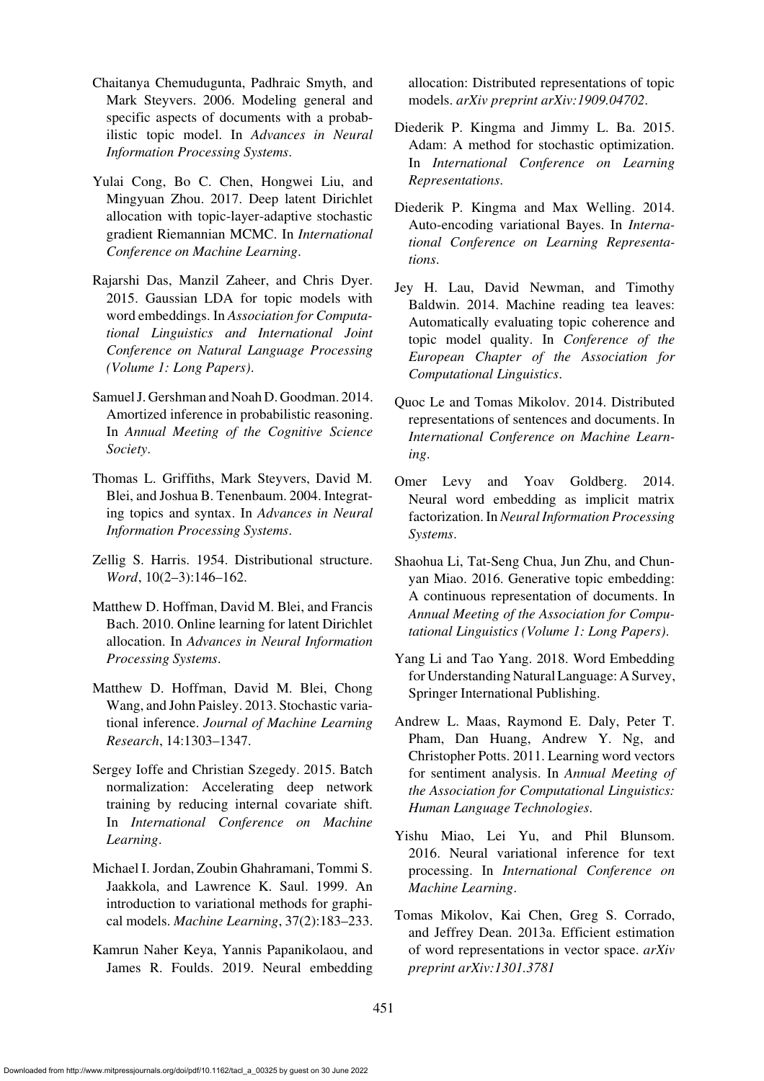- <span id="page-12-20"></span>Chaitanya Chemudugunta, Padhraic Smyth, and Mark Steyvers. 2006. Modeling general and specific aspects of documents with a probabilistic topic model. In *Advances in Neural Information Processing Systems*.
- <span id="page-12-9"></span>Yulai Cong, Bo C. Chen, Hongwei Liu, and Mingyuan Zhou. 2017. Deep latent Dirichlet allocation with topic-layer-adaptive stochastic gradient Riemannian MCMC. In *International Conference on Machine Learning*.
- <span id="page-12-13"></span>Rajarshi Das, Manzil Zaheer, and Chris Dyer. 2015. Gaussian LDA for topic models with word embeddings. In *Association for Computational Linguistics and International Joint Conference on Natural Language Processing (Volume 1: Long Papers)*.
- <span id="page-12-10"></span>Samuel J. Gershman and Noah D. Goodman. 2014. Amortized inference in probabilistic reasoning. In *Annual Meeting of the Cognitive Science Society*.
- <span id="page-12-19"></span>Thomas L. Griffiths, Mark Steyvers, David M. Blei, and Joshua B. Tenenbaum. 2004. Integrating topics and syntax. In *Advances in Neural Information Processing Systems*.
- <span id="page-12-15"></span>Zellig S. Harris. 1954. Distributional structure. *Word*, 10(2–3):146–162.
- <span id="page-12-0"></span>Matthew D. Hoffman, David M. Blei, and Francis Bach. 2010. Online learning for latent Dirichlet allocation. In *Advances in Neural Information Processing Systems*.
- <span id="page-12-1"></span>Matthew D. Hoffman, David M. Blei, Chong Wang, and John Paisley. 2013. Stochastic variational inference. *Journal of Machine Learning Research*, 14:1303–1347.
- <span id="page-12-17"></span>Sergey Ioffe and Christian Szegedy. 2015. Batch normalization: Accelerating deep network training by reducing internal covariate shift. In *International Conference on Machine Learning*.
- <span id="page-12-6"></span>Michael I. Jordan, Zoubin Ghahramani, Tommi S. Jaakkola, and Lawrence K. Saul. 1999. An introduction to variational methods for graphical models. *Machine Learning*, 37(2):183–233.
- <span id="page-12-14"></span>Kamrun Naher Keya, Yannis Papanikolaou, and James R. Foulds. 2019. Neural embedding

allocation: Distributed representations of topic models. *arXiv preprint arXiv:1909.04702*.

- <span id="page-12-16"></span>Diederik P. Kingma and Jimmy L. Ba. 2015. Adam: A method for stochastic optimization. In *International Conference on Learning Representations*.
- <span id="page-12-7"></span>Diederik P. Kingma and Max Welling. 2014. Auto-encoding variational Bayes. In *International Conference on Learning Representations*.
- <span id="page-12-18"></span>Jey H. Lau, David Newman, and Timothy Baldwin. 2014. Machine reading tea leaves: Automatically evaluating topic coherence and topic model quality. In *Conference of the European Chapter of the Association for Computational Linguistics*.
- <span id="page-12-11"></span>Quoc Le and Tomas Mikolov. 2014. Distributed representations of sentences and documents. In *International Conference on Machine Learning*.
- <span id="page-12-3"></span>Omer Levy and Yoav Goldberg. 2014. Neural word embedding as implicit matrix factorization. In *Neural Information Processing Systems*.
- <span id="page-12-12"></span>Shaohua Li, Tat-Seng Chua, Jun Zhu, and Chunyan Miao. 2016. Generative topic embedding: A continuous representation of documents. In *Annual Meeting of the Association for Computational Linguistics (Volume 1: Long Papers)*.
- <span id="page-12-5"></span>Yang Li and Tao Yang. 2018. Word Embedding for Understanding Natural Language: A Survey, Springer International Publishing.
- <span id="page-12-4"></span>Andrew L. Maas, Raymond E. Daly, Peter T. Pham, Dan Huang, Andrew Y. Ng, and Christopher Potts. 2011. Learning word vectors for sentiment analysis. In *Annual Meeting of the Association for Computational Linguistics: Human Language Technologies*.
- <span id="page-12-8"></span>Yishu Miao, Lei Yu, and Phil Blunsom. 2016. Neural variational inference for text processing. In *International Conference on Machine Learning*.
- <span id="page-12-2"></span>Tomas Mikolov, Kai Chen, Greg S. Corrado, and Jeffrey Dean. 2013a. Efficient estimation of word representations in vector space. *arXiv preprint arXiv:1301.3781*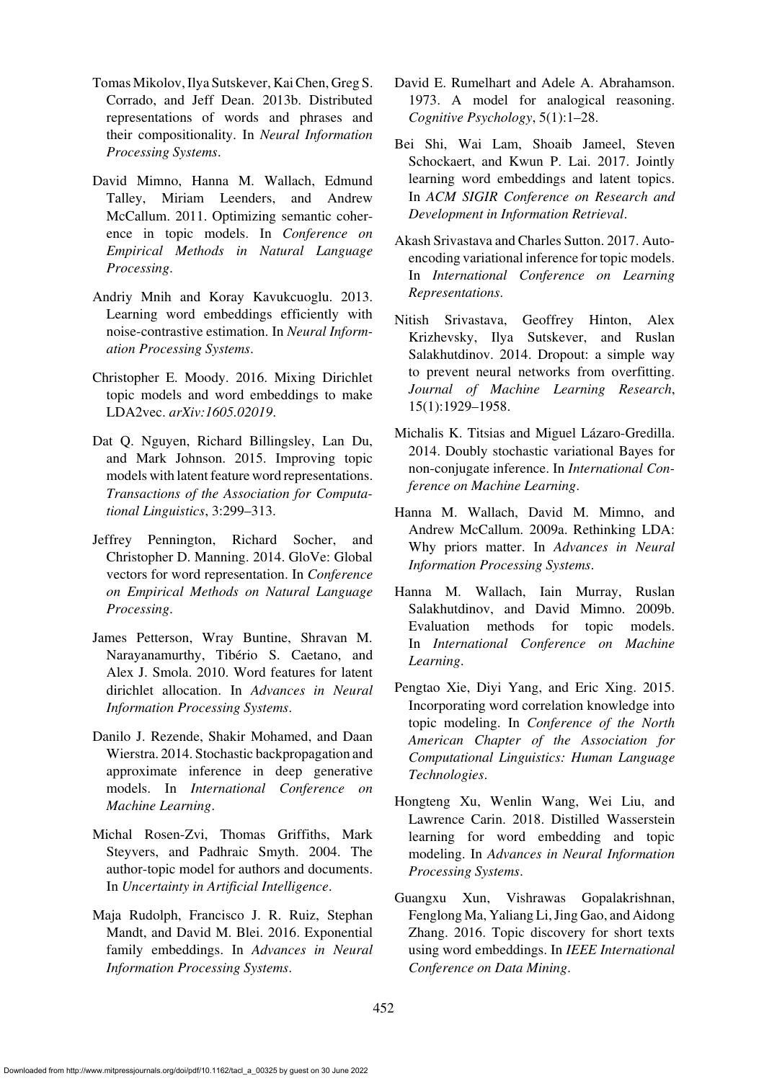- <span id="page-13-1"></span>Tomas Mikolov, Ilya Sutskever, Kai Chen, Greg S. Corrado, and Jeff Dean. 2013b. Distributed representations of words and phrases and their compositionality. In *Neural Information Processing Systems*.
- <span id="page-13-8"></span>David Mimno, Hanna M. Wallach, Edmund Talley, Miriam Leenders, and Andrew McCallum. 2011. Optimizing semantic coherence in topic models. In *Conference on Empirical Methods in Natural Language Processing*.
- <span id="page-13-3"></span>Andriy Mnih and Koray Kavukcuoglu. 2013. Learning word embeddings efficiently with noise-contrastive estimation. In *Neural Information Processing Systems*.
- <span id="page-13-9"></span>Christopher E. Moody. 2016. Mixing Dirichlet topic models and word embeddings to make LDA2vec. *arXiv:1605.02019*.
- <span id="page-13-14"></span>Dat Q. Nguyen, Richard Billingsley, Lan Du, and Mark Johnson. 2015. Improving topic models with latent feature word representations. *Transactions of the Association for Computational Linguistics*, 3:299–313.
- <span id="page-13-2"></span>Jeffrey Pennington, Richard Socher, and Christopher D. Manning. 2014. GloVe: Global vectors for word representation. In *Conference on Empirical Methods on Natural Language Processing*.
- <span id="page-13-10"></span>James Petterson, Wray Buntine, Shravan M. Narayanamurthy, Tibério S. Caetano, and Alex J. Smola. 2010. Word features for latent dirichlet allocation. In *Advances in Neural Information Processing Systems*.
- <span id="page-13-5"></span>Danilo J. Rezende, Shakir Mohamed, and Daan Wierstra. 2014. Stochastic backpropagation and approximate inference in deep generative models. In *International Conference on Machine Learning*.
- <span id="page-13-17"></span>Michal Rosen-Zvi, Thomas Griffiths, Mark Steyvers, and Padhraic Smyth. 2004. The author-topic model for authors and documents. In *Uncertainty in Artificial Intelligence*.
- <span id="page-13-4"></span>Maja Rudolph, Francisco J. R. Ruiz, Stephan Mandt, and David M. Blei. 2016. Exponential family embeddings. In *Advances in Neural Information Processing Systems*.
- <span id="page-13-0"></span>David E. Rumelhart and Adele A. Abrahamson. 1973. A model for analogical reasoning. *Cognitive Psychology*, 5(1):1–28.
- <span id="page-13-11"></span>Bei Shi, Wai Lam, Shoaib Jameel, Steven Schockaert, and Kwun P. Lai. 2017. Jointly learning word embeddings and latent topics. In *ACM SIGIR Conference on Research and Development in Information Retrieval*.
- <span id="page-13-6"></span>Akash Srivastava and Charles Sutton. 2017. Autoencoding variational inference for topic models. In *International Conference on Learning Representations*.
- <span id="page-13-18"></span>Nitish Srivastava, Geoffrey Hinton, Alex Krizhevsky, Ilya Sutskever, and Ruslan Salakhutdinov. 2014. Dropout: a simple way to prevent neural networks from overfitting. *Journal of Machine Learning Research*, 15(1):1929–1958.
- <span id="page-13-16"></span>Michalis K. Titsias and Miguel Lázaro-Gredilla. 2014. Doubly stochastic variational Bayes for non-conjugate inference. In *International Conference on Machine Learning*.
- <span id="page-13-19"></span>Hanna M. Wallach, David M. Mimno, and Andrew McCallum. 2009a. Rethinking LDA: Why priors matter. In *Advances in Neural Information Processing Systems*.
- <span id="page-13-7"></span>Hanna M. Wallach, Iain Murray, Ruslan Salakhutdinov, and David Mimno. 2009b. Evaluation methods for topic models. In *International Conference on Machine Learning*.
- <span id="page-13-12"></span>Pengtao Xie, Diyi Yang, and Eric Xing. 2015. Incorporating word correlation knowledge into topic modeling. In *Conference of the North American Chapter of the Association for Computational Linguistics: Human Language Technologies*.
- <span id="page-13-15"></span>Hongteng Xu, Wenlin Wang, Wei Liu, and Lawrence Carin. 2018. Distilled Wasserstein learning for word embedding and topic modeling. In *Advances in Neural Information Processing Systems*.
- <span id="page-13-13"></span>Guangxu Xun, Vishrawas Gopalakrishnan, Fenglong Ma, Yaliang Li, Jing Gao, and Aidong Zhang. 2016. Topic discovery for short texts using word embeddings. In *IEEE International Conference on Data Mining*.